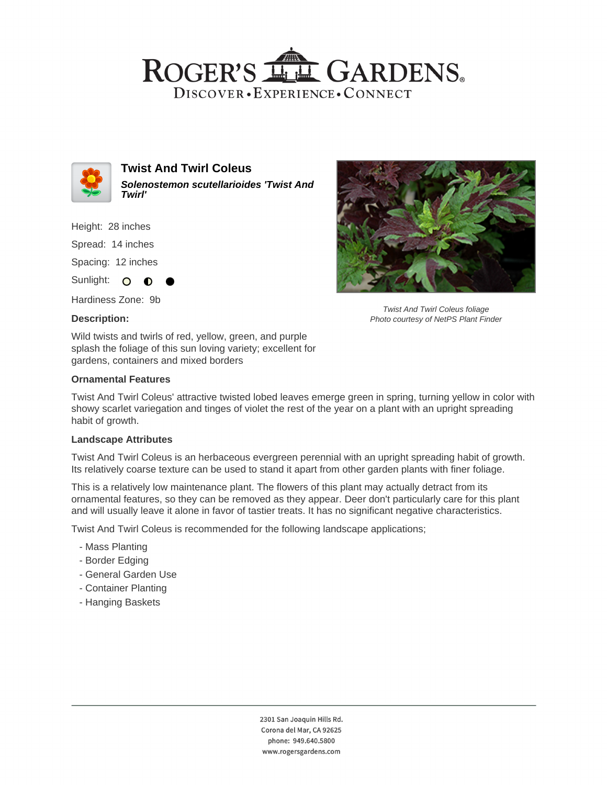



**Twist And Twirl Coleus Solenostemon scutellarioides 'Twist And Twirl'**

Height: 28 inches

Spread: 14 inches

Spacing: 12 inches

Sunlight: O  $\bullet$ 

Hardiness Zone: 9b

## **Description:**

Wild twists and twirls of red, yellow, green, and purple splash the foliage of this sun loving variety; excellent for gardens, containers and mixed borders

## **Ornamental Features**

Twist And Twirl Coleus' attractive twisted lobed leaves emerge green in spring, turning yellow in color with showy scarlet variegation and tinges of violet the rest of the year on a plant with an upright spreading habit of growth.

#### **Landscape Attributes**

Twist And Twirl Coleus is an herbaceous evergreen perennial with an upright spreading habit of growth. Its relatively coarse texture can be used to stand it apart from other garden plants with finer foliage.

This is a relatively low maintenance plant. The flowers of this plant may actually detract from its ornamental features, so they can be removed as they appear. Deer don't particularly care for this plant and will usually leave it alone in favor of tastier treats. It has no significant negative characteristics.

Twist And Twirl Coleus is recommended for the following landscape applications;

- Mass Planting
- Border Edging
- General Garden Use
- Container Planting
- Hanging Baskets



Twist And Twirl Coleus foliage Photo courtesy of NetPS Plant Finder

2301 San Joaquin Hills Rd. Corona del Mar, CA 92625 phone: 949.640.5800 www.rogersgardens.com